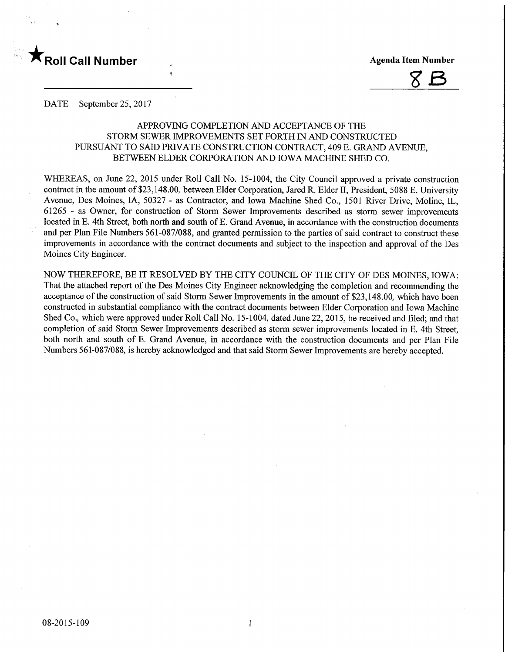



DATE September 25, 2017

## APPROVING COMPLETION AND ACCEPTANCE OF THE STORM SEWER IMPROVEMENTS SET FORTH IN AND CONSTRUCTED PURSUANT TO SAID PRWATE CONSTRUCTION CONTRACT, 409 E. GRAND AVENUE, BETWEEN ELDER CORPORATION AND IOWA MACHINE SHED CO.

WHEREAS, on June 22, 2015 under Roll Call No. 15-1004, the City Council approved a private construction contract in the amount of \$23,148.00, between Elder Corporation, Jared R. Elder H, President, 5088 E. University Avenue, Des Moines, IA, 50327 - as Contractor, and Iowa Machine Shed Co., 1501 River Drive, Moline, IL, 61265 - as Owner, for construction of Storm Sewer Improvements described as storm sewer improvements located in E. 4th Street, both north and south of E. Grand Avenue, in accordance with the construction documents and per Plan File Numbers 561-087/088, and granted permission to the parties of said contract to construct these improvements in accordance with the contract documents and subject to the inspection and approval of the Des Moines City Engineer.

NOW THEREFORE, BE IT RESOLVED BY THE CITY COUNCIL OF THE CITY OF DES MOINES, IOWA: That the attached report of the Des Moines City Engineer acknowledging the completion and recommending the acceptance of the construction of said Storm Sewer Improvements in the amount of \$23,148.00, which have been constructed in substantial compliance with the contract documents between Elder Corporation and Iowa Machine Shed Co., which were approved under Roll Call No. 15-1004, dated June 22, 2015, be received and filed; and that completion of said Storm Sewer Improvements described as storm sewer improvements located in E. 4th Street, both north and south of E. Grand Avenue, in accordance with the construction documents and per Plan File Numbers 561-087/088, is hereby acknowledged and that said Storm Sewer Improvements are hereby accepted.

 $\mathbf{1}$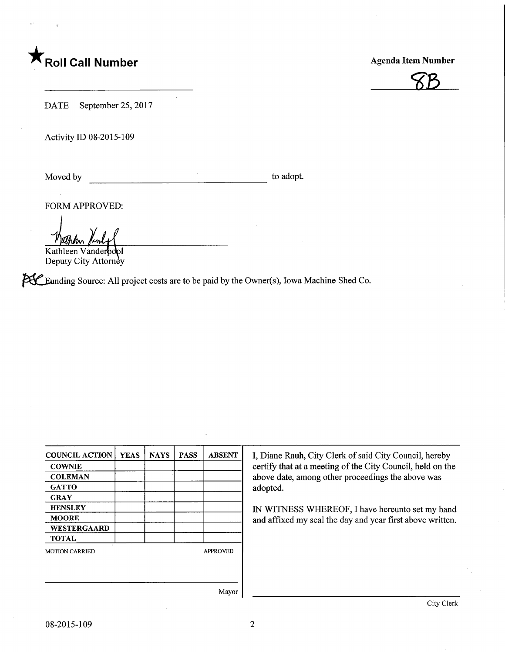# $\mathsf{r}_{\mathsf{Roll}}$  Call Number

Agenda Item Number



DATE September 25, 2017

Activity ID 08-2015-109

 $\mathcal{A}^{\mathcal{A}}$ to adopt. Moved by

FORM APPROVED:

Kathleen Vanderbd Deputy City Attorney

**PHC** Eunding Source: All project costs are to be paid by the Owner(s), Iowa Machine Shed Co.

| <b>COUNCIL ACTION</b> | <b>YEAS</b> | <b>NAYS</b> | <b>PASS</b>     | <b>ABSENT</b> |
|-----------------------|-------------|-------------|-----------------|---------------|
| <b>COWNIE</b>         |             |             |                 |               |
| <b>COLEMAN</b>        |             |             |                 |               |
| <b>GATTO</b>          |             |             |                 |               |
| <b>GRAY</b>           |             |             |                 |               |
| <b>HENSLEY</b>        |             |             |                 |               |
| <b>MOORE</b>          |             |             |                 |               |
| WESTERGAARD           |             |             |                 |               |
| <b>TOTAL</b>          |             |             |                 |               |
| <b>MOTION CARRIED</b> |             |             | <b>APPROVED</b> |               |
|                       |             |             |                 |               |
|                       |             |             |                 | Mayor         |

I, Diane Rauh, City Clerk of said City Council, hereby certify that at a meeting of the City Council, held on the above date, among other proceedings the above was adopted.

IN WITNESS WHEREOF, I have hereunto set my hand and affixed my seal the day and year first above written.

Mayor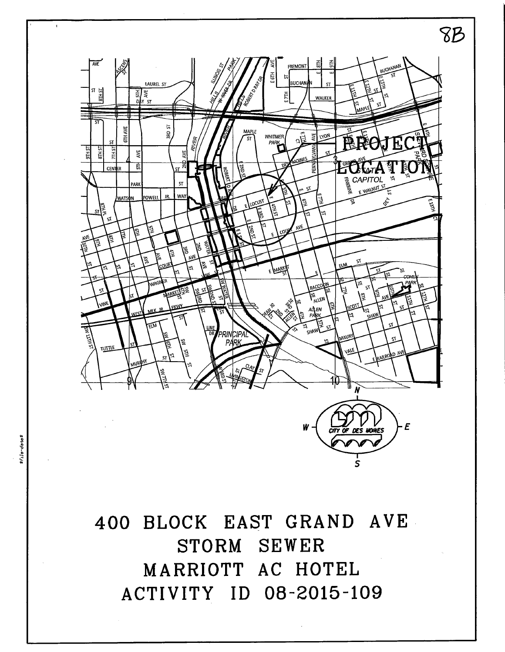

400 BLOCK EAST GRAND AVE STORM SEWER MARRIOTT AC HOTEL ACTIVITY ID 08-2015-109

s -§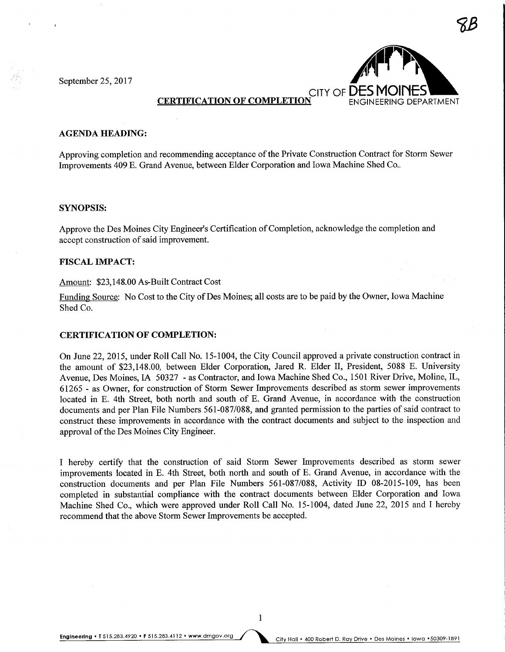September 25, 2017



 $8\%$ 

# **CERTIFICATION OF COMPLETION**

## **AGENDA HEADING:**

Approving completion and recommending acceptance of the Private Construction Contract for Storm Sewer Improvements 409 E. Grand Avenue, between Elder Corporation and Iowa Machine Shed Co..

#### SYNOPSIS:

Approve the Des Moines City Engineer's Certification of Completion, acknowledge the completion and accept construction of said improvement.

#### FISCAL IMPACT:

## Amount: \$23,148.00 As-Built Contract Cost

Funding Source: No Cost to the City of Des Moines; all costs are to be paid by the Owner, Iowa Machine Shed Co.

#### CERTIFICATION OF COMPLETION:

On June 22, 2015, under Roll Call No. 15-1004, the City Council approved a private construction contract in the amount of \$23,148.00, between Elder Corporation, Jared R. Elder II, President, 5088 E. University Avenue, Des Moines, IA 50327 - as Contractor, and Iowa Machine Shed Co., 1501 River Drive, Moline, IL, 61265 - as Owner, for construction of Storm Sewer Improvements described as storm sewer improvements located in E. 4th Street, both north and south of E. Grand Avenue, in accordance with the construction documents and per Plan File Numbers 561-087/088, and granted permission to the parties of said contract to construct these improvements in accordance with the contract documents and subject to the inspection and approval of the Des Moines City Engineer.

I hereby certify that the construction of said Storm Sewer Improvements described as storm sewer improvements located in E. 4th Street, both north and south of E. Grand Avenue, in accordance with the construction documents and per Plan File Numbers 561-087/088, Activity ID 08-2015-109, has been completed in substantial compliance with the contract documents between Elder Corporation and Iowa Machine Shed Co., which were approved under Roll Call No. 15-1004, dated June 22, 2015 and I hereby recommend that the above Storm Sewer Improvements be accepted.

Engineering . T 515.283.4920 . F 515.283.4112 . www.dmgov.org City Hall . 400 Robert D. Ray Drive . Des Moines . Iowa . 50309-1891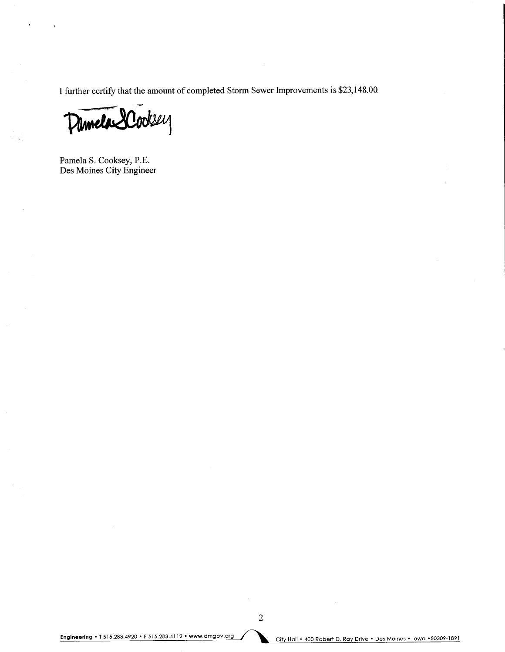I further certify that the amount of completed Storm Sewer Improvements is \$23,148.00.

Pannela SCooksey

Pamela S. Cooksey, P.E. Des Moines City Engineer

Engineering • T 515.283.4920 • F 515.283.4112 • www.dmgov.org / and City Hall • 400 Robert D. Ray Drive • Des Moines • Iowa • 50309-1891